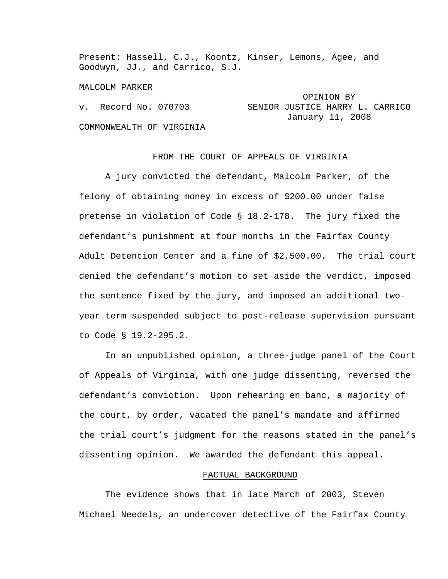Present: Hassell, C.J., Koontz, Kinser, Lemons, Agee, and Goodwyn, JJ., and Carrico, S.J.

MALCOLM PARKER

|                          | OPINION BY                      |
|--------------------------|---------------------------------|
| v. Record No. 070703     | SENIOR JUSTICE HARRY L. CARRICO |
|                          | January 11, 2008                |
| COMMONWEALTH OF VIRGINIA |                                 |

## FROM THE COURT OF APPEALS OF VIRGINIA

 A jury convicted the defendant, Malcolm Parker, of the felony of obtaining money in excess of \$200.00 under false pretense in violation of Code § 18.2-178. The jury fixed the defendant's punishment at four months in the Fairfax County Adult Detention Center and a fine of \$2,500.00. The trial court denied the defendant's motion to set aside the verdict, imposed the sentence fixed by the jury, and imposed an additional twoyear term suspended subject to post-release supervision pursuant to Code § 19.2-295.2.

 In an unpublished opinion, a three-judge panel of the Court of Appeals of Virginia, with one judge dissenting, reversed the defendant's conviction. Upon rehearing en banc, a majority of the court, by order, vacated the panel's mandate and affirmed the trial court's judgment for the reasons stated in the panel's dissenting opinion. We awarded the defendant this appeal.

#### FACTUAL BACKGROUND

 The evidence shows that in late March of 2003, Steven Michael Needels, an undercover detective of the Fairfax County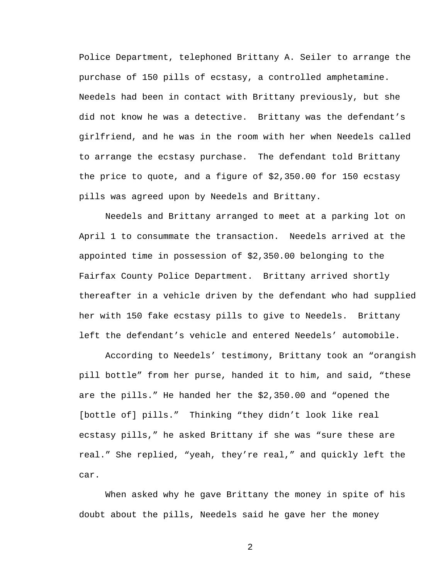Police Department, telephoned Brittany A. Seiler to arrange the purchase of 150 pills of ecstasy, a controlled amphetamine. Needels had been in contact with Brittany previously, but she did not know he was a detective. Brittany was the defendant's girlfriend, and he was in the room with her when Needels called to arrange the ecstasy purchase. The defendant told Brittany the price to quote, and a figure of \$2,350.00 for 150 ecstasy pills was agreed upon by Needels and Brittany.

 Needels and Brittany arranged to meet at a parking lot on April 1 to consummate the transaction. Needels arrived at the appointed time in possession of \$2,350.00 belonging to the Fairfax County Police Department. Brittany arrived shortly thereafter in a vehicle driven by the defendant who had supplied her with 150 fake ecstasy pills to give to Needels. Brittany left the defendant's vehicle and entered Needels' automobile.

 According to Needels' testimony, Brittany took an "orangish pill bottle" from her purse, handed it to him, and said, "these are the pills." He handed her the \$2,350.00 and "opened the [bottle of] pills." Thinking "they didn't look like real ecstasy pills," he asked Brittany if she was "sure these are real." She replied, "yeah, they're real," and quickly left the car.

 When asked why he gave Brittany the money in spite of his doubt about the pills, Needels said he gave her the money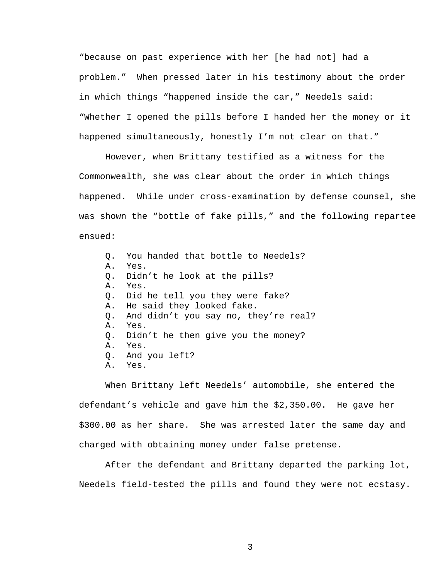"because on past experience with her [he had not] had a problem." When pressed later in his testimony about the order in which things "happened inside the car," Needels said: "Whether I opened the pills before I handed her the money or it happened simultaneously, honestly I'm not clear on that."

 However, when Brittany testified as a witness for the Commonwealth, she was clear about the order in which things happened. While under cross-examination by defense counsel, she was shown the "bottle of fake pills," and the following repartee ensued:

Q. You handed that bottle to Needels? A. Yes. Q. Didn't he look at the pills? A. Yes. Q. Did he tell you they were fake? A. He said they looked fake. Q. And didn't you say no, they're real? A. Yes. Q. Didn't he then give you the money? A. Yes. Q. And you left? A. Yes.

 When Brittany left Needels' automobile, she entered the defendant's vehicle and gave him the \$2,350.00. He gave her \$300.00 as her share. She was arrested later the same day and charged with obtaining money under false pretense.

 After the defendant and Brittany departed the parking lot, Needels field-tested the pills and found they were not ecstasy.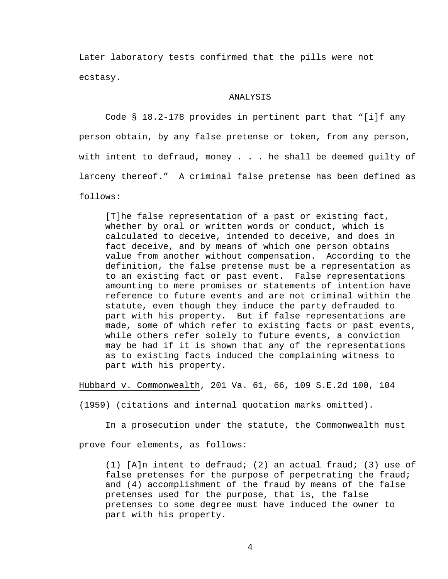Later laboratory tests confirmed that the pills were not ecstasy.

## ANALYSIS

 Code § 18.2-178 provides in pertinent part that "[i]f any person obtain, by any false pretense or token, from any person, with intent to defraud, money . . . he shall be deemed guilty of larceny thereof." A criminal false pretense has been defined as follows:

[T]he false representation of a past or existing fact, whether by oral or written words or conduct, which is calculated to deceive, intended to deceive, and does in fact deceive, and by means of which one person obtains value from another without compensation. According to the definition, the false pretense must be a representation as to an existing fact or past event. False representations amounting to mere promises or statements of intention have reference to future events and are not criminal within the statute, even though they induce the party defrauded to part with his property. But if false representations are made, some of which refer to existing facts or past events, while others refer solely to future events, a conviction may be had if it is shown that any of the representations as to existing facts induced the complaining witness to part with his property.

Hubbard v. Commonwealth, 201 Va. 61, 66, 109 S.E.2d 100, 104

(1959) (citations and internal quotation marks omitted).

In a prosecution under the statute, the Commonwealth must

prove four elements, as follows:

(1) [A]n intent to defraud; (2) an actual fraud; (3) use of false pretenses for the purpose of perpetrating the fraud; and (4) accomplishment of the fraud by means of the false pretenses used for the purpose, that is, the false pretenses to some degree must have induced the owner to part with his property.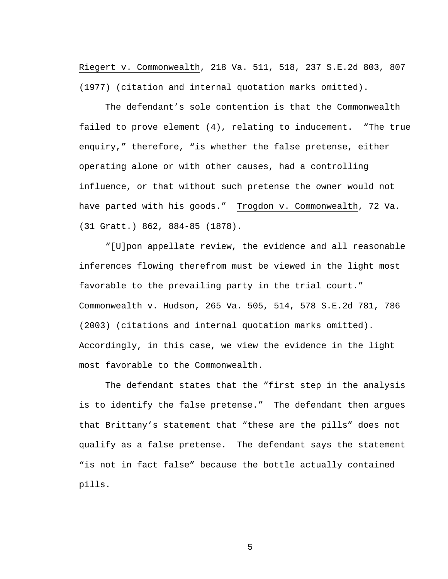Riegert v. Commonwealth, 218 Va. 511, 518, 237 S.E.2d 803, 807 (1977) (citation and internal quotation marks omitted).

 The defendant's sole contention is that the Commonwealth failed to prove element (4), relating to inducement. "The true enquiry," therefore, "is whether the false pretense, either operating alone or with other causes, had a controlling influence, or that without such pretense the owner would not have parted with his goods." Trogdon v. Commonwealth, 72 Va. (31 Gratt.) 862, 884-85 (1878).

 "[U]pon appellate review, the evidence and all reasonable inferences flowing therefrom must be viewed in the light most favorable to the prevailing party in the trial court." Commonwealth v. Hudson, 265 Va. 505, 514, 578 S.E.2d 781, 786 (2003) (citations and internal quotation marks omitted). Accordingly, in this case, we view the evidence in the light most favorable to the Commonwealth.

 The defendant states that the "first step in the analysis is to identify the false pretense." The defendant then argues that Brittany's statement that "these are the pills" does not qualify as a false pretense. The defendant says the statement "is not in fact false" because the bottle actually contained pills.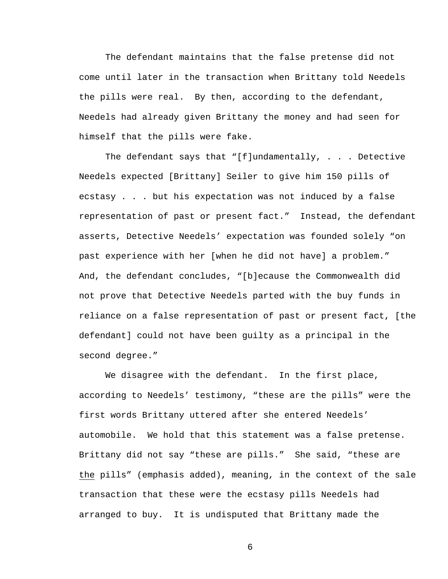The defendant maintains that the false pretense did not come until later in the transaction when Brittany told Needels the pills were real. By then, according to the defendant, Needels had already given Brittany the money and had seen for himself that the pills were fake.

The defendant says that "[f]undamentally,  $\ldots$  Detective Needels expected [Brittany] Seiler to give him 150 pills of ecstasy . . . but his expectation was not induced by a false representation of past or present fact." Instead, the defendant asserts, Detective Needels' expectation was founded solely "on past experience with her [when he did not have] a problem." And, the defendant concludes, "[b]ecause the Commonwealth did not prove that Detective Needels parted with the buy funds in reliance on a false representation of past or present fact, [the defendant] could not have been guilty as a principal in the second degree."

We disagree with the defendant. In the first place, according to Needels' testimony, "these are the pills" were the first words Brittany uttered after she entered Needels' automobile. We hold that this statement was a false pretense. Brittany did not say "these are pills." She said, "these are the pills" (emphasis added), meaning, in the context of the sale transaction that these were the ecstasy pills Needels had arranged to buy. It is undisputed that Brittany made the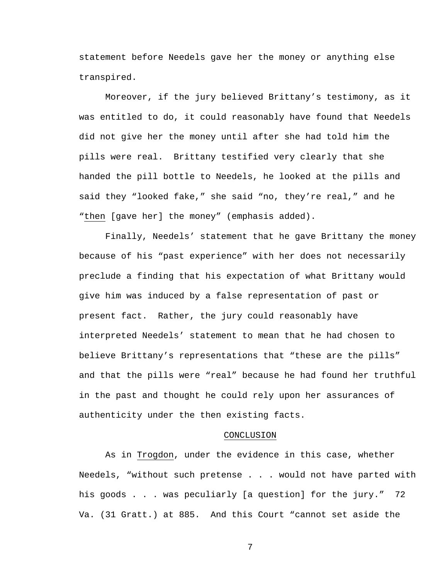statement before Needels gave her the money or anything else transpired.

 Moreover, if the jury believed Brittany's testimony, as it was entitled to do, it could reasonably have found that Needels did not give her the money until after she had told him the pills were real. Brittany testified very clearly that she handed the pill bottle to Needels, he looked at the pills and said they "looked fake," she said "no, they're real," and he "then [gave her] the money" (emphasis added).

 Finally, Needels' statement that he gave Brittany the money because of his "past experience" with her does not necessarily preclude a finding that his expectation of what Brittany would give him was induced by a false representation of past or present fact. Rather, the jury could reasonably have interpreted Needels' statement to mean that he had chosen to believe Brittany's representations that "these are the pills" and that the pills were "real" because he had found her truthful in the past and thought he could rely upon her assurances of authenticity under the then existing facts.

#### CONCLUSION

 As in Trogdon, under the evidence in this case, whether Needels, "without such pretense . . . would not have parted with his goods . . . was peculiarly [a question] for the jury." 72 Va. (31 Gratt.) at 885. And this Court "cannot set aside the